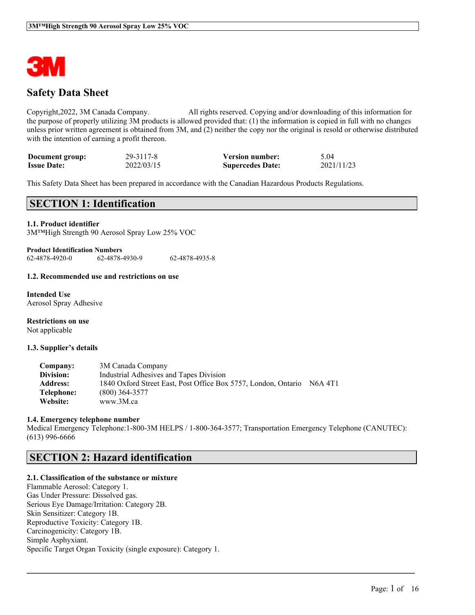

# **Safety Data Sheet**

Copyright,2022, 3M Canada Company. All rights reserved. Copying and/or downloading of this information for the purpose of properly utilizing 3M products is allowed provided that: (1) the information is copied in full with no changes unless prior written agreement is obtained from 3M, and (2) neither the copy nor the original is resold or otherwise distributed with the intention of earning a profit thereon.

| Document group:    | 29-3117-8  | <b>Version number:</b>  | 5.04       |
|--------------------|------------|-------------------------|------------|
| <b>Issue Date:</b> | 2022/03/15 | <b>Supercedes Date:</b> | 2021/11/23 |

This Safety Data Sheet has been prepared in accordance with the Canadian Hazardous Products Regulations.

### **SECTION 1: Identification**

#### **1.1. Product identifier**

3M™High Strength 90 Aerosol Spray Low 25% VOC

**Product Identification Numbers** 62-4878-4920-0 62-4878-4930-9 62-4878-4935-8

#### **1.2. Recommended use and restrictions on use**

**Intended Use** Aerosol Spray Adhesive

**Restrictions on use** Not applicable

#### **1.3. Supplier's details**

| Company:        | 3M Canada Company                                              |         |
|-----------------|----------------------------------------------------------------|---------|
| Division:       | Industrial Adhesives and Tapes Division                        |         |
| <b>Address:</b> | 1840 Oxford Street East, Post Office Box 5757, London, Ontario | N6A 4T1 |
| Telephone:      | $(800)$ 364-3577                                               |         |
| Website:        | www.3M.ca                                                      |         |

#### **1.4. Emergency telephone number**

Medical Emergency Telephone:1-800-3M HELPS / 1-800-364-3577; Transportation Emergency Telephone (CANUTEC): (613) 996-6666

 $\mathcal{L}_\mathcal{L} = \mathcal{L}_\mathcal{L} = \mathcal{L}_\mathcal{L} = \mathcal{L}_\mathcal{L} = \mathcal{L}_\mathcal{L} = \mathcal{L}_\mathcal{L} = \mathcal{L}_\mathcal{L} = \mathcal{L}_\mathcal{L} = \mathcal{L}_\mathcal{L} = \mathcal{L}_\mathcal{L} = \mathcal{L}_\mathcal{L} = \mathcal{L}_\mathcal{L} = \mathcal{L}_\mathcal{L} = \mathcal{L}_\mathcal{L} = \mathcal{L}_\mathcal{L} = \mathcal{L}_\mathcal{L} = \mathcal{L}_\mathcal{L}$ 

### **SECTION 2: Hazard identification**

#### **2.1. Classification of the substance or mixture**

Flammable Aerosol: Category 1. Gas Under Pressure: Dissolved gas. Serious Eye Damage/Irritation: Category 2B. Skin Sensitizer: Category 1B. Reproductive Toxicity: Category 1B. Carcinogenicity: Category 1B. Simple Asphyxiant. Specific Target Organ Toxicity (single exposure): Category 1.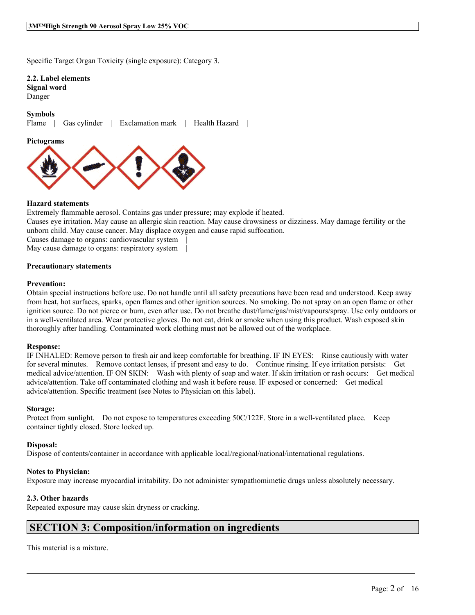Specific Target Organ Toxicity (single exposure): Category 3.

**2.2. Label elements**

**Signal word** Danger

#### **Symbols**

Flame | Gas cylinder | Exclamation mark | Health Hazard |



#### **Hazard statements**

Extremely flammable aerosol. Contains gas under pressure; may explode if heated. Causes eye irritation. May cause an allergic skin reaction. May cause drowsiness or dizziness. May damage fertility or the unborn child. May cause cancer. May displace oxygen and cause rapid suffocation. Causes damage to organs: cardiovascular system | May cause damage to organs: respiratory system

#### **Precautionary statements**

#### **Prevention:**

Obtain special instructions before use. Do not handle until all safety precautions have been read and understood. Keep away from heat, hot surfaces, sparks, open flames and other ignition sources. No smoking. Do not spray on an open flame or other ignition source. Do not pierce or burn, even after use. Do not breathe dust/fume/gas/mist/vapours/spray. Use only outdoors or in a well-ventilated area. Wear protective gloves. Do not eat, drink or smoke when using this product. Wash exposed skin thoroughly after handling. Contaminated work clothing must not be allowed out of the workplace.

#### **Response:**

IF INHALED: Remove person to fresh air and keep comfortable for breathing. IF IN EYES: Rinse cautiously with water for several minutes. Remove contact lenses, if present and easy to do. Continue rinsing. If eye irritation persists: Get medical advice/attention. IF ON SKIN: Wash with plenty of soap and water. If skin irritation or rash occurs: Get medical advice/attention. Take off contaminated clothing and wash it before reuse. IF exposed or concerned: Get medical advice/attention. Specific treatment (see Notes to Physician on this label).

#### **Storage:**

Protect from sunlight. Do not expose to temperatures exceeding 50C/122F. Store in a well-ventilated place. Keep container tightly closed. Store locked up.

#### **Disposal:**

Dispose of contents/container in accordance with applicable local/regional/national/international regulations.

#### **Notes to Physician:**

Exposure may increase myocardial irritability. Do not administer sympathomimetic drugs unless absolutely necessary.

 $\mathcal{L}_\mathcal{L} = \mathcal{L}_\mathcal{L} = \mathcal{L}_\mathcal{L} = \mathcal{L}_\mathcal{L} = \mathcal{L}_\mathcal{L} = \mathcal{L}_\mathcal{L} = \mathcal{L}_\mathcal{L} = \mathcal{L}_\mathcal{L} = \mathcal{L}_\mathcal{L} = \mathcal{L}_\mathcal{L} = \mathcal{L}_\mathcal{L} = \mathcal{L}_\mathcal{L} = \mathcal{L}_\mathcal{L} = \mathcal{L}_\mathcal{L} = \mathcal{L}_\mathcal{L} = \mathcal{L}_\mathcal{L} = \mathcal{L}_\mathcal{L}$ 

#### **2.3. Other hazards**

Repeated exposure may cause skin dryness or cracking.

### **SECTION 3: Composition/information on ingredients**

This material is a mixture.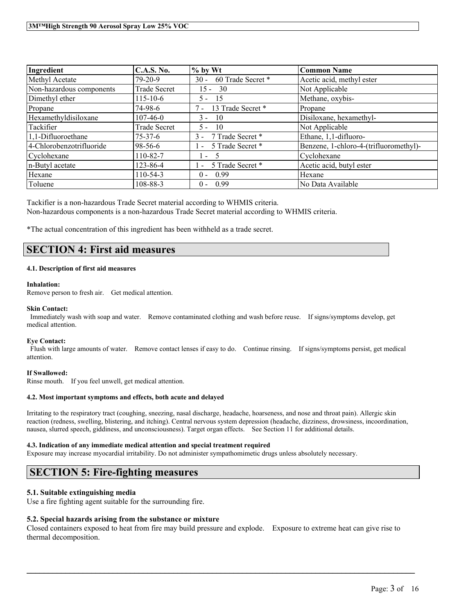| Ingredient               | C.A.S. No.          | $%$ by Wt                   | <b>Common Name</b>                     |
|--------------------------|---------------------|-----------------------------|----------------------------------------|
| Methyl Acetate           | $79-20-9$           | 60 Trade Secret *<br>$30 -$ | Acetic acid, methyl ester              |
| Non-hazardous components | Trade Secret        | $15 - 30$                   | Not Applicable                         |
| Dimethyl ether           | $115 - 10 - 6$      | -15<br>5.                   | Methane, oxybis-                       |
| Propane                  | 74-98-6             | 13 Trade Secret *<br>$7 -$  | Propane                                |
| Hexamethyldisiloxane     | $107 - 46 - 0$      | $3 -$<br>$\overline{10}$    | Disiloxane, hexamethyl-                |
| Tackifier                | <b>Trade Secret</b> | - 10<br>5 -                 | Not Applicable                         |
| 1,1-Difluoroethane       | $75 - 37 - 6$       | 7 Trade Secret *<br>$3 -$   | Ethane, 1,1-difluoro-                  |
| 4-Chlorobenzotrifluoride | 98-56-6             | - 5 Trade Secret *          | Benzene, 1-chloro-4-(trifluoromethyl)- |
| Cyclohexane              | 110-82-7            | $1 - 5$                     | Cyclohexane                            |
| n-Butyl acetate          | 123-86-4            | 5 Trade Secret *<br>$\sim$  | Acetic acid, butyl ester               |
| Hexane                   | 110-54-3            | $0 - 0.99$                  | Hexane                                 |
| Toluene                  | 108-88-3            | 0.99<br>$0 -$               | No Data Available                      |

Tackifier is a non-hazardous Trade Secret material according to WHMIS criteria. Non-hazardous components is a non-hazardous Trade Secret material according to WHMIS criteria.

\*The actual concentration of this ingredient has been withheld as a trade secret.

# **SECTION 4: First aid measures**

#### **4.1. Description of first aid measures**

#### **Inhalation:**

Remove person to fresh air. Get medical attention.

#### **Skin Contact:**

Immediately wash with soap and water. Remove contaminated clothing and wash before reuse. If signs/symptoms develop, get medical attention.

#### **Eye Contact:**

Flush with large amounts of water. Remove contact lenses if easy to do. Continue rinsing. If signs/symptoms persist, get medical attention.

#### **If Swallowed:**

Rinse mouth. If you feel unwell, get medical attention.

#### **4.2. Most important symptoms and effects, both acute and delayed**

Irritating to the respiratory tract (coughing, sneezing, nasal discharge, headache, hoarseness, and nose and throat pain). Allergic skin reaction (redness, swelling, blistering, and itching). Central nervous system depression (headache, dizziness, drowsiness, incoordination, nausea, slurred speech, giddiness, and unconsciousness). Target organ effects. See Section 11 for additional details.

#### **4.3. Indication of any immediate medical attention and special treatment required**

Exposure may increase myocardial irritability. Do not administer sympathomimetic drugs unless absolutely necessary.

### **SECTION 5: Fire-fighting measures**

#### **5.1. Suitable extinguishing media**

Use a fire fighting agent suitable for the surrounding fire.

#### **5.2. Special hazards arising from the substance or mixture**

Closed containers exposed to heat from fire may build pressure and explode. Exposure to extreme heat can give rise to thermal decomposition.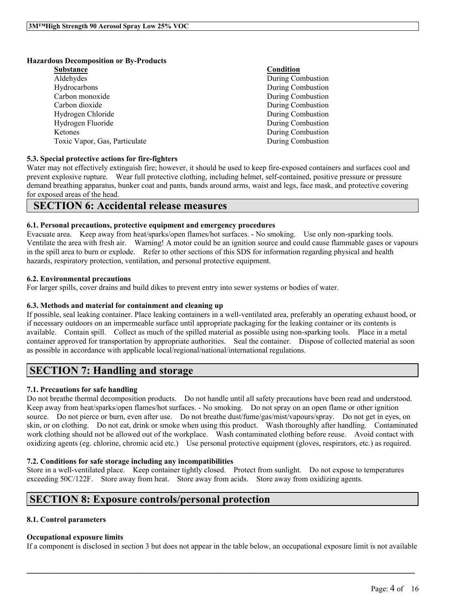#### **Hazardous Decomposition or By-Products**

| <b>Substance</b>              | Condition                |
|-------------------------------|--------------------------|
| Aldehydes                     | During Combustion        |
| Hydrocarbons                  | During Combustion        |
| Carbon monoxide               | During Combustion        |
| Carbon dioxide                | During Combustion        |
| Hydrogen Chloride             | During Combustion        |
| Hydrogen Fluoride             | During Combustion        |
| Ketones                       | <b>During Combustion</b> |
| Toxic Vapor, Gas, Particulate | During Combustion        |
|                               |                          |

#### **5.3. Special protective actions for fire-fighters**

Water may not effectively extinguish fire; however, it should be used to keep fire-exposed containers and surfaces cool and prevent explosive rupture. Wear full protective clothing, including helmet, self-contained, positive pressure or pressure demand breathing apparatus, bunker coat and pants, bands around arms, waist and legs, face mask, and protective covering for exposed areas of the head.

### **SECTION 6: Accidental release measures**

#### **6.1. Personal precautions, protective equipment and emergency procedures**

Evacuate area. Keep away from heat/sparks/open flames/hot surfaces. - No smoking. Use only non-sparking tools. Ventilate the area with fresh air. Warning! A motor could be an ignition source and could cause flammable gases or vapours in the spill area to burn or explode. Refer to other sections of this SDS for information regarding physical and health hazards, respiratory protection, ventilation, and personal protective equipment.

#### **6.2. Environmental precautions**

For larger spills, cover drains and build dikes to prevent entry into sewer systems or bodies of water.

#### **6.3. Methods and material for containment and cleaning up**

If possible, seal leaking container. Place leaking containers in a well-ventilated area, preferably an operating exhaust hood, or if necessary outdoors on an impermeable surface until appropriate packaging for the leaking container or its contents is available. Contain spill. Collect as much of the spilled material as possible using non-sparking tools. Place in a metal container approved for transportation by appropriate authorities. Seal the container. Dispose of collected material as soon as possible in accordance with applicable local/regional/national/international regulations.

# **SECTION 7: Handling and storage**

#### **7.1. Precautions for safe handling**

Do not breathe thermal decomposition products. Do not handle until all safety precautions have been read and understood. Keep away from heat/sparks/open flames/hot surfaces. - No smoking. Do not spray on an open flame or other ignition source. Do not pierce or burn, even after use. Do not breathe dust/fume/gas/mist/vapours/spray. Do not get in eyes, on skin, or on clothing. Do not eat, drink or smoke when using this product. Wash thoroughly after handling. Contaminated work clothing should not be allowed out of the workplace. Wash contaminated clothing before reuse. Avoid contact with oxidizing agents (eg. chlorine, chromic acid etc.) Use personal protective equipment (gloves, respirators, etc.) as required.

#### **7.2. Conditions for safe storage including any incompatibilities**

Store in a well-ventilated place. Keep container tightly closed. Protect from sunlight. Do not expose to temperatures exceeding 50C/122F. Store away from heat. Store away from acids. Store away from oxidizing agents.

### **SECTION 8: Exposure controls/personal protection**

#### **8.1. Control parameters**

#### **Occupational exposure limits**

If a component is disclosed in section 3 but does not appear in the table below, an occupational exposure limit is not available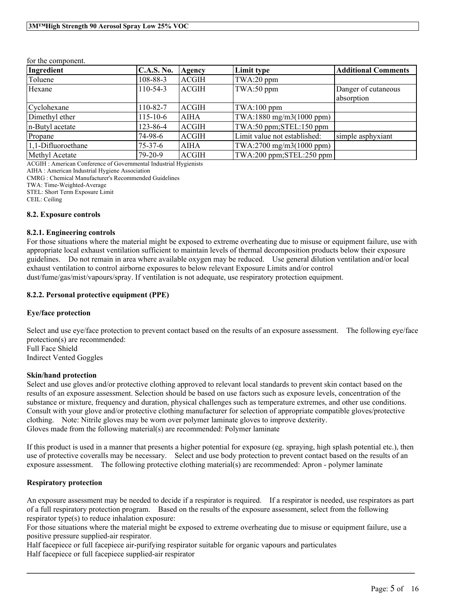| Ingredient         | <b>C.A.S. No.</b> | Agency       | Limit type                    | <b>Additional Comments</b> |
|--------------------|-------------------|--------------|-------------------------------|----------------------------|
| Toluene            | 108-88-3          | <b>ACGIH</b> | TWA:20 ppm                    |                            |
| Hexane             | $110-54-3$        | <b>ACGIH</b> | TWA:50 ppm                    | Danger of cutaneous        |
|                    |                   |              |                               | absorption                 |
| Cyclohexane        | 110-82-7          | <b>ACGIH</b> | $TWA:100$ ppm                 |                            |
| Dimethyl ether     | $115 - 10 - 6$    | <b>AIHA</b>  | TWA:1880 mg/m3(1000 ppm)      |                            |
| n-Butyl acetate    | 123-86-4          | <b>ACGIH</b> | TWA:50 ppm;STEL:150 ppm       |                            |
| Propane            | 74-98-6           | <b>ACGIH</b> | Limit value not established:  | simple asphyxiant          |
| 1,1-Difluoroethane | $75 - 37 - 6$     | <b>AIHA</b>  | TWA:2700 mg/m3(1000 ppm)      |                            |
| Methyl Acetate     | $79-20-9$         | <b>ACGIH</b> | $TWA:200$ ppm; $STEL:250$ ppm |                            |

ACGIH : American Conference of Governmental Industrial Hygienists

AIHA : American Industrial Hygiene Association

CMRG : Chemical Manufacturer's Recommended Guidelines

TWA: Time-Weighted-Average

STEL: Short Term Exposure Limit

CEIL: Ceiling

#### **8.2. Exposure controls**

#### **8.2.1. Engineering controls**

For those situations where the material might be exposed to extreme overheating due to misuse or equipment failure, use with appropriate local exhaust ventilation sufficient to maintain levels of thermal decomposition products below their exposure guidelines. Do not remain in area where available oxygen may be reduced. Use general dilution ventilation and/or local exhaust ventilation to control airborne exposures to below relevant Exposure Limits and/or control dust/fume/gas/mist/vapours/spray. If ventilation is not adequate, use respiratory protection equipment.

#### **8.2.2. Personal protective equipment (PPE)**

#### **Eye/face protection**

Select and use eve/face protection to prevent contact based on the results of an exposure assessment. The following eve/face protection(s) are recommended: Full Face Shield Indirect Vented Goggles

#### **Skin/hand protection**

Select and use gloves and/or protective clothing approved to relevant local standards to prevent skin contact based on the results of an exposure assessment. Selection should be based on use factors such as exposure levels, concentration of the substance or mixture, frequency and duration, physical challenges such as temperature extremes, and other use conditions. Consult with your glove and/or protective clothing manufacturer for selection of appropriate compatible gloves/protective clothing. Note: Nitrile gloves may be worn over polymer laminate gloves to improve dexterity. Gloves made from the following material(s) are recommended: Polymer laminate

If this product is used in a manner that presents a higher potential for exposure (eg. spraying, high splash potential etc.), then use of protective coveralls may be necessary. Select and use body protection to prevent contact based on the results of an exposure assessment. The following protective clothing material(s) are recommended: Apron - polymer laminate

#### **Respiratory protection**

An exposure assessment may be needed to decide if a respirator is required. If a respirator is needed, use respirators as part of a full respiratory protection program. Based on the results of the exposure assessment, select from the following respirator type(s) to reduce inhalation exposure:

For those situations where the material might be exposed to extreme overheating due to misuse or equipment failure, use a positive pressure supplied-air respirator.

 $\mathcal{L}_\mathcal{L} = \mathcal{L}_\mathcal{L} = \mathcal{L}_\mathcal{L} = \mathcal{L}_\mathcal{L} = \mathcal{L}_\mathcal{L} = \mathcal{L}_\mathcal{L} = \mathcal{L}_\mathcal{L} = \mathcal{L}_\mathcal{L} = \mathcal{L}_\mathcal{L} = \mathcal{L}_\mathcal{L} = \mathcal{L}_\mathcal{L} = \mathcal{L}_\mathcal{L} = \mathcal{L}_\mathcal{L} = \mathcal{L}_\mathcal{L} = \mathcal{L}_\mathcal{L} = \mathcal{L}_\mathcal{L} = \mathcal{L}_\mathcal{L}$ 

Half facepiece or full facepiece air-purifying respirator suitable for organic vapours and particulates Half facepiece or full facepiece supplied-air respirator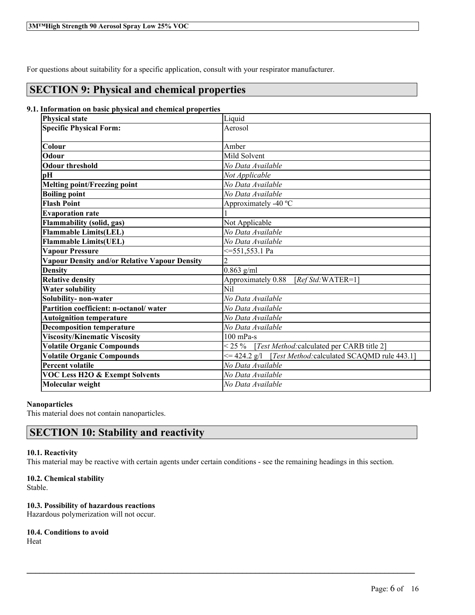For questions about suitability for a specific application, consult with your respirator manufacturer.

# **SECTION 9: Physical and chemical properties**

#### **9.1. Information on basic physical and chemical properties**

| <b>Physical state</b>                                | Liquid                                                          |  |
|------------------------------------------------------|-----------------------------------------------------------------|--|
| <b>Specific Physical Form:</b>                       | Aerosol                                                         |  |
|                                                      |                                                                 |  |
| Colour                                               | Amber                                                           |  |
| Odour                                                | Mild Solvent                                                    |  |
| <b>Odour threshold</b>                               | No Data Available                                               |  |
| pH                                                   | Not Applicable                                                  |  |
| <b>Melting point/Freezing point</b>                  | No Data Available                                               |  |
| <b>Boiling point</b>                                 | No Data Available                                               |  |
| <b>Flash Point</b>                                   | Approximately -40 °C                                            |  |
| <b>Evaporation rate</b>                              |                                                                 |  |
| <b>Flammability (solid, gas)</b>                     | Not Applicable                                                  |  |
| <b>Flammable Limits(LEL)</b>                         | No Data Available                                               |  |
| Flammable Limits(UEL)                                | No Data Available                                               |  |
| <b>Vapour Pressure</b>                               | <=551,553.1 Pa                                                  |  |
| <b>Vapour Density and/or Relative Vapour Density</b> | $\overline{2}$                                                  |  |
| <b>Density</b>                                       | $0.863$ g/ml                                                    |  |
| <b>Relative density</b>                              | Approximately 0.88<br>$[RefStd:WATER=1]$                        |  |
| <b>Water solubility</b>                              | Nil                                                             |  |
| Solubility- non-water                                | No Data Available                                               |  |
| Partition coefficient: n-octanol/water               | No Data Available                                               |  |
| <b>Autoignition temperature</b>                      | No Data Available                                               |  |
| <b>Decomposition temperature</b>                     | No Data Available                                               |  |
| <b>Viscosity/Kinematic Viscosity</b>                 | $100$ mPa-s                                                     |  |
| <b>Volatile Organic Compounds</b>                    | $< 25 \%$<br>[Test Method: calculated per CARB title 2]         |  |
| <b>Volatile Organic Compounds</b>                    | [Test Method: calculated SCAQMD rule 443.1]<br>$\leq$ 424.2 g/l |  |
| <b>Percent volatile</b>                              | No Data Available                                               |  |
| <b>VOC Less H2O &amp; Exempt Solvents</b>            | No Data Available                                               |  |
| Molecular weight                                     | No Data Available                                               |  |

#### **Nanoparticles**

This material does not contain nanoparticles.

# **SECTION 10: Stability and reactivity**

#### **10.1. Reactivity**

This material may be reactive with certain agents under certain conditions - see the remaining headings in this section.

 $\mathcal{L}_\mathcal{L} = \mathcal{L}_\mathcal{L} = \mathcal{L}_\mathcal{L} = \mathcal{L}_\mathcal{L} = \mathcal{L}_\mathcal{L} = \mathcal{L}_\mathcal{L} = \mathcal{L}_\mathcal{L} = \mathcal{L}_\mathcal{L} = \mathcal{L}_\mathcal{L} = \mathcal{L}_\mathcal{L} = \mathcal{L}_\mathcal{L} = \mathcal{L}_\mathcal{L} = \mathcal{L}_\mathcal{L} = \mathcal{L}_\mathcal{L} = \mathcal{L}_\mathcal{L} = \mathcal{L}_\mathcal{L} = \mathcal{L}_\mathcal{L}$ 

#### **10.2. Chemical stability**

Stable.

#### **10.3. Possibility of hazardous reactions**

Hazardous polymerization will not occur.

# **10.4. Conditions to avoid**

Heat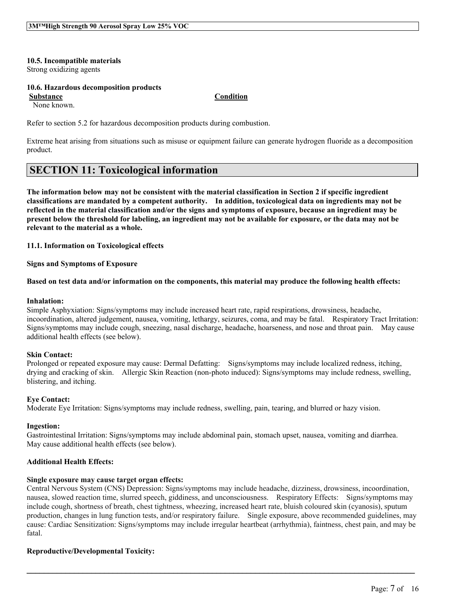**10.5. Incompatible materials** Strong oxidizing agents

#### **10.6. Hazardous decomposition products**

**Substance Condition**

None known.

Refer to section 5.2 for hazardous decomposition products during combustion.

Extreme heat arising from situations such as misuse or equipment failure can generate hydrogen fluoride as a decomposition product.

# **SECTION 11: Toxicological information**

The information below may not be consistent with the material classification in Section 2 if specific ingredient **classifications are mandated by a competent authority. In addition, toxicological data on ingredients may not be** reflected in the material classification and/or the signs and symptoms of exposure, because an ingredient may be present below the threshold for labeling, an ingredient may not be available for exposure, or the data may not be **relevant to the material as a whole.**

#### **11.1. Information on Toxicological effects**

#### **Signs and Symptoms of Exposure**

#### Based on test data and/or information on the components, this material may produce the following health effects:

#### **Inhalation:**

Simple Asphyxiation: Signs/symptoms may include increased heart rate, rapid respirations, drowsiness, headache, incoordination, altered judgement, nausea, vomiting, lethargy, seizures, coma, and may be fatal. Respiratory Tract Irritation: Signs/symptoms may include cough, sneezing, nasal discharge, headache, hoarseness, and nose and throat pain. May cause additional health effects (see below).

#### **Skin Contact:**

Prolonged or repeated exposure may cause: Dermal Defatting: Signs/symptoms may include localized redness, itching, drying and cracking of skin. Allergic Skin Reaction (non-photo induced): Signs/symptoms may include redness, swelling, blistering, and itching.

#### **Eye Contact:**

Moderate Eye Irritation: Signs/symptoms may include redness, swelling, pain, tearing, and blurred or hazy vision.

#### **Ingestion:**

Gastrointestinal Irritation: Signs/symptoms may include abdominal pain, stomach upset, nausea, vomiting and diarrhea. May cause additional health effects (see below).

#### **Additional Health Effects:**

#### **Single exposure may cause target organ effects:**

Central Nervous System (CNS) Depression: Signs/symptoms may include headache, dizziness, drowsiness, incoordination, nausea, slowed reaction time, slurred speech, giddiness, and unconsciousness. Respiratory Effects: Signs/symptoms may include cough, shortness of breath, chest tightness, wheezing, increased heart rate, bluish coloured skin (cyanosis), sputum production, changes in lung function tests, and/or respiratory failure. Single exposure, above recommended guidelines, may cause: Cardiac Sensitization: Signs/symptoms may include irregular heartbeat (arrhythmia), faintness, chest pain, and may be fatal.

 $\mathcal{L}_\mathcal{L} = \mathcal{L}_\mathcal{L} = \mathcal{L}_\mathcal{L} = \mathcal{L}_\mathcal{L} = \mathcal{L}_\mathcal{L} = \mathcal{L}_\mathcal{L} = \mathcal{L}_\mathcal{L} = \mathcal{L}_\mathcal{L} = \mathcal{L}_\mathcal{L} = \mathcal{L}_\mathcal{L} = \mathcal{L}_\mathcal{L} = \mathcal{L}_\mathcal{L} = \mathcal{L}_\mathcal{L} = \mathcal{L}_\mathcal{L} = \mathcal{L}_\mathcal{L} = \mathcal{L}_\mathcal{L} = \mathcal{L}_\mathcal{L}$ 

#### **Reproductive/Developmental Toxicity:**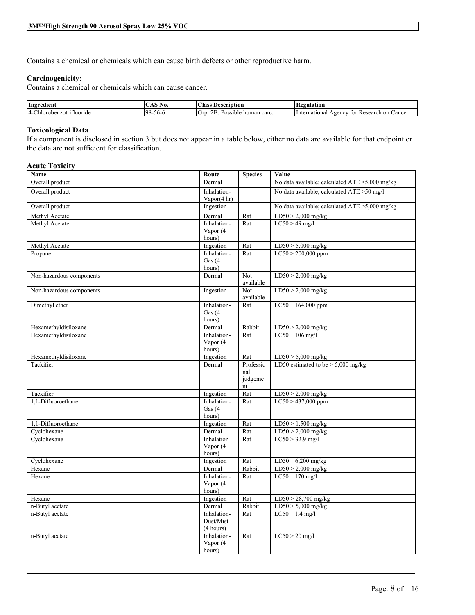Contains a chemical or chemicals which can cause birth defects or other reproductive harm.

#### **Carcinogenicity:**

Contains a chemical or chemicals which can cause cancer.

| Ingredient                          | NО.<br>- 11          | $\sim$<br>:las:<br>Description                 | 'egulation<br>TV.                                          |
|-------------------------------------|----------------------|------------------------------------------------|------------------------------------------------------------|
| benzotrifluoride<br>OL.<br>люг<br>. | -98<br>- , , , ,<br> | $\Delta D$<br>carc<br>-GP<br>'ossible<br>human | on<br>∠ancer<br>International<br>Research<br>1gency<br>tor |

#### **Toxicological Data**

If a component is disclosed in section 3 but does not appear in a table below, either no data are available for that endpoint or the data are not sufficient for classification.

#### **Acute Toxicity**

| Name                       | Route                    | <b>Species</b> | Value                                           |
|----------------------------|--------------------------|----------------|-------------------------------------------------|
| Overall product            | Dermal                   |                | No data available; calculated ATE > 5,000 mg/kg |
| Overall product            | Inhalation-              |                | No data available; calculated ATE > 50 mg/l     |
|                            | Vapor $(4 \text{ hr})$   |                |                                                 |
| Overall product            | Ingestion                |                | No data available; calculated ATE >5,000 mg/kg  |
| Methyl Acetate             | Dermal                   | Rat            | $LD50 > 2,000$ mg/kg                            |
| Methyl Acetate             | Inhalation-              | Rat            | $LC50 > 49$ mg/l                                |
|                            | Vapor (4                 |                |                                                 |
|                            | hours)                   |                |                                                 |
| Methyl Acetate             | Ingestion                | Rat            | $LD50 > 5,000$ mg/kg                            |
| Propane                    | Inhalation-<br>Gas $(4)$ | Rat            | $LC50 > 200,000$ ppm                            |
|                            | hours)                   |                |                                                 |
| Non-hazardous components   | Dermal                   | Not            | $LD50 > 2,000$ mg/kg                            |
|                            |                          | available      |                                                 |
| Non-hazardous components   | Ingestion                | Not            | $LD50 > 2,000$ mg/kg                            |
|                            |                          | available      |                                                 |
| Dimethyl ether             | Inhalation-              | Rat            | LC50 164,000 ppm                                |
|                            | Gas $(4)$                |                |                                                 |
|                            | hours)                   |                |                                                 |
| Hexamethyldisiloxane       | Dermal                   | Rabbit         | $LD50 > 2,000$ mg/kg                            |
| Hexamethyldisiloxane       | Inhalation-              | Rat            | LC50 106 mg/l                                   |
|                            | Vapor (4<br>hours)       |                |                                                 |
| Hexamethyldisiloxane       | Ingestion                | Rat            | $LD50 > 5,000$ mg/kg                            |
| Tackifier                  | Dermal                   | Professio      | LD50 estimated to be $> 5,000$ mg/kg            |
|                            |                          | nal            |                                                 |
|                            |                          | judgeme        |                                                 |
|                            |                          | nt             |                                                 |
| Tackifier                  | Ingestion                | Rat            | $LD50 > 2,000$ mg/kg                            |
| 1,1-Difluoroethane         | Inhalation-              | Rat            | $LC50 > 437,000$ ppm                            |
|                            | Gas $(4)$                |                |                                                 |
|                            | hours)                   |                |                                                 |
| 1.1-Difluoroethane         | Ingestion                | Rat            | $LD50 > 1,500$ mg/kg                            |
| Cyclohexane<br>Cyclohexane | Dermal<br>Inhalation-    | Rat<br>Rat     | $LD50 > 2,000$ mg/kg<br>$LC50 > 32.9$ mg/l      |
|                            | Vapor (4                 |                |                                                 |
|                            | hours)                   |                |                                                 |
| Cyclohexane                | Ingestion                | Rat            | LD50 6,200 mg/kg                                |
| Hexane                     | Dermal                   | Rabbit         | $LD50 > 2,000$ mg/kg                            |
| Hexane                     | Inhalation-              | Rat            | LC50 170 mg/l                                   |
|                            | Vapor (4                 |                |                                                 |
|                            | hours)                   |                |                                                 |
| Hexane                     | Ingestion                | Rat            | $LD50 > 28,700$ mg/kg                           |
| n-Butyl acetate            | Dermal                   | Rabbit         | $LD50 > 5,000$ mg/kg                            |
| n-Butyl acetate            | Inhalation-              | Rat            | $LC50$ 1.4 mg/l                                 |
|                            | Dust/Mist                |                |                                                 |
|                            | (4 hours)<br>Inhalation- | Rat            | $LC50 > 20$ mg/l                                |
| n-Butyl acetate            | Vapor (4                 |                |                                                 |
|                            | hours)                   |                |                                                 |
|                            |                          |                |                                                 |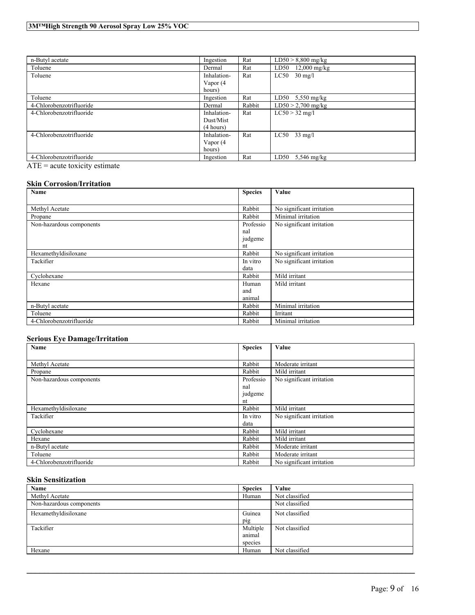| n-Butyl acetate                            | Ingestion                             | Rat    | $LD50 > 8,800$ mg/kg  |
|--------------------------------------------|---------------------------------------|--------|-----------------------|
| Toluene                                    | Dermal                                | Rat    | $LD50$ 12,000 mg/kg   |
| Toluene                                    | Inhalation-<br>Vapor $(4)$<br>hours)  | Rat    | $LC50$ 30 mg/l        |
| Toluene                                    | Ingestion                             | Rat    | LD50 $5,550$ mg/kg    |
| 4-Chlorobenzotrifluoride                   | Dermal                                | Rabbit | $LD50 > 2,700$ mg/kg  |
| 4-Chlorobenzotrifluoride                   | Inhalation-<br>Dust/Mist<br>(4 hours) | Rat    | $LC50 > 32$ mg/l      |
| 4-Chlorobenzotrifluoride                   | Inhalation-<br>Vapor (4<br>hours)     | Rat    | $LC50$ 33 mg/l        |
| 4-Chlorobenzotrifluoride<br>$\blacksquare$ | Ingestion                             | Rat    | LD50<br>$5,546$ mg/kg |

ATE = acute toxicity estimate

#### **Skin Corrosion/Irritation**

| Name                     | <b>Species</b> | Value                     |
|--------------------------|----------------|---------------------------|
|                          |                |                           |
| Methyl Acetate           | Rabbit         | No significant irritation |
| Propane                  | Rabbit         | Minimal irritation        |
| Non-hazardous components | Professio      | No significant irritation |
|                          | nal            |                           |
|                          | judgeme        |                           |
|                          | nt             |                           |
| Hexamethyldisiloxane     | Rabbit         | No significant irritation |
| Tackifier                | In vitro       | No significant irritation |
|                          | data           |                           |
| Cyclohexane              | Rabbit         | Mild irritant             |
| Hexane                   | Human          | Mild irritant             |
|                          | and            |                           |
|                          | animal         |                           |
| n-Butyl acetate          | Rabbit         | Minimal irritation        |
| Toluene                  | Rabbit         | Irritant                  |
| 4-Chlorobenzotrifluoride | Rabbit         | Minimal irritation        |

#### **Serious Eye Damage/Irritation**

| Name                     | <b>Species</b> | Value                     |
|--------------------------|----------------|---------------------------|
|                          |                |                           |
| Methyl Acetate           | Rabbit         | Moderate irritant         |
| Propane                  | Rabbit         | Mild irritant             |
| Non-hazardous components | Professio      | No significant irritation |
|                          | nal            |                           |
|                          | judgeme        |                           |
|                          | nt             |                           |
| Hexamethyldisiloxane     | Rabbit         | Mild irritant             |
| Tackifier                | In vitro       | No significant irritation |
|                          | data           |                           |
| Cyclohexane              | Rabbit         | Mild irritant             |
| Hexane                   | Rabbit         | Mild irritant             |
| n-Butyl acetate          | Rabbit         | Moderate irritant         |
| Toluene                  | Rabbit         | Moderate irritant         |
| 4-Chlorobenzotrifluoride | Rabbit         | No significant irritation |

#### **Skin Sensitization**

| Name                     | <b>Species</b> | Value          |
|--------------------------|----------------|----------------|
| Methyl Acetate           | Human          | Not classified |
| Non-hazardous components |                | Not classified |
| Hexamethyldisiloxane     | Guinea         | Not classified |
|                          | pig            |                |
| Tackifier                | Multiple       | Not classified |
|                          | animal         |                |
|                          | species        |                |
| Hexane                   | Human          | Not classified |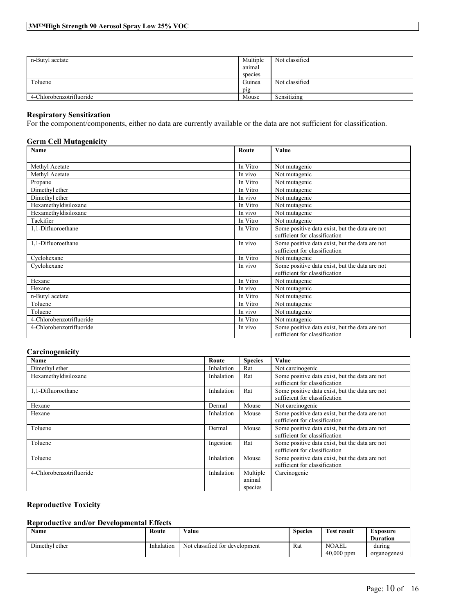| n-Butyl acetate          | Multiple<br>animal<br>species | Not classified |
|--------------------------|-------------------------------|----------------|
| Toluene                  | Guinea                        | Not classified |
|                          | pig                           |                |
| 4-Chlorobenzotrifluoride | Mouse                         | Sensitizing    |

#### **Respiratory Sensitization**

For the component/components, either no data are currently available or the data are not sufficient for classification.

#### **Germ Cell Mutagenicity**

| <b>Name</b>              | Route    | Value                                                                           |
|--------------------------|----------|---------------------------------------------------------------------------------|
|                          |          |                                                                                 |
| Methyl Acetate           | In Vitro | Not mutagenic                                                                   |
| Methyl Acetate           | In vivo  | Not mutagenic                                                                   |
| Propane                  | In Vitro | Not mutagenic                                                                   |
| Dimethyl ether           | In Vitro | Not mutagenic                                                                   |
| Dimethyl ether           | In vivo  | Not mutagenic                                                                   |
| Hexamethyldisiloxane     | In Vitro | Not mutagenic                                                                   |
| Hexamethyldisiloxane     | In vivo  | Not mutagenic                                                                   |
| Tackifier                | In Vitro | Not mutagenic                                                                   |
| 1,1-Difluoroethane       | In Vitro | Some positive data exist, but the data are not<br>sufficient for classification |
| 1,1-Difluoroethane       | In vivo  | Some positive data exist, but the data are not<br>sufficient for classification |
| Cyclohexane              | In Vitro | Not mutagenic                                                                   |
| Cyclohexane              | In vivo  | Some positive data exist, but the data are not<br>sufficient for classification |
| Hexane                   | In Vitro | Not mutagenic                                                                   |
| Hexane                   | In vivo  | Not mutagenic                                                                   |
| n-Butyl acetate          | In Vitro | Not mutagenic                                                                   |
| Toluene                  | In Vitro | Not mutagenic                                                                   |
| Toluene                  | In vivo  | Not mutagenic                                                                   |
| 4-Chlorobenzotrifluoride | In Vitro | Not mutagenic                                                                   |
| 4-Chlorobenzotrifluoride | In vivo  | Some positive data exist, but the data are not<br>sufficient for classification |

### **Carcinogenicity**

| Name                     | Route      | <b>Species</b> | Value                                          |
|--------------------------|------------|----------------|------------------------------------------------|
| Dimethyl ether           | Inhalation | Rat            | Not carcinogenic                               |
| Hexamethyldisiloxane     | Inhalation | Rat            | Some positive data exist, but the data are not |
|                          |            |                | sufficient for classification                  |
| 1.1-Difluoroethane       | Inhalation | Rat            | Some positive data exist, but the data are not |
|                          |            |                | sufficient for classification                  |
| Hexane                   | Dermal     | Mouse          | Not carcinogenic                               |
| Hexane                   | Inhalation | Mouse          | Some positive data exist, but the data are not |
|                          |            |                | sufficient for classification                  |
| Toluene                  | Dermal     | Mouse          | Some positive data exist, but the data are not |
|                          |            |                | sufficient for classification                  |
| Toluene                  | Ingestion  | Rat            | Some positive data exist, but the data are not |
|                          |            |                | sufficient for classification                  |
| Toluene                  | Inhalation | Mouse          | Some positive data exist, but the data are not |
|                          |            |                | sufficient for classification                  |
| 4-Chlorobenzotrifluoride | Inhalation | Multiple       | Carcinogenic                                   |
|                          |            | animal         |                                                |
|                          |            | species        |                                                |

### **Reproductive Toxicity**

### **Reproductive and/or Developmental Effects**

| Name           | Route      | Value                          | <b>Species</b> | <b>Test result</b> | Exposure        |
|----------------|------------|--------------------------------|----------------|--------------------|-----------------|
|                |            |                                |                |                    | <b>Duration</b> |
| Dimethyl ether | Inhalation | Not classified for development | Rat            | <b>NOAEL</b>       | durıng          |
|                |            |                                |                | $40.000$ ppm       | organogenesi    |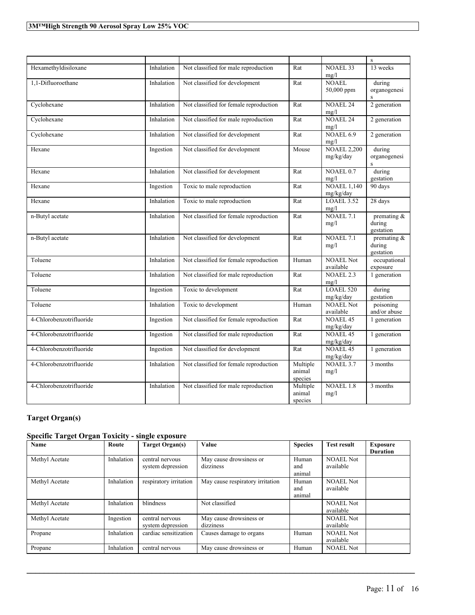|                          |            |                                        |                               |                                  | $\rm S$                               |
|--------------------------|------------|----------------------------------------|-------------------------------|----------------------------------|---------------------------------------|
| Hexamethyldisiloxane     | Inhalation | Not classified for male reproduction   | Rat                           | NOAEL 33<br>mg/l                 | 13 weeks                              |
| 1,1-Difluoroethane       | Inhalation | Not classified for development         | Rat                           | <b>NOAEL</b><br>50,000 ppm       | during<br>organogenesi<br>S           |
| Cyclohexane              | Inhalation | Not classified for female reproduction | Rat                           | <b>NOAEL 24</b><br>mg/l          | 2 generation                          |
| Cyclohexane              | Inhalation | Not classified for male reproduction   | Rat                           | <b>NOAEL 24</b><br>mg/l          | 2 generation                          |
| Cyclohexane              | Inhalation | Not classified for development         | Rat                           | NOAEL 6.9<br>mg/l                | 2 generation                          |
| Hexane                   | Ingestion  | Not classified for development         | Mouse                         | <b>NOAEL 2,200</b><br>mg/kg/day  | during<br>organogenesi<br>S           |
| Hexane                   | Inhalation | Not classified for development         | Rat                           | NOAEL <sub>0.7</sub><br>mg/l     | during<br>gestation                   |
| Hexane                   | Ingestion  | Toxic to male reproduction             | Rat                           | <b>NOAEL 1,140</b><br>mg/kg/day  | 90 days                               |
| Hexane                   | Inhalation | Toxic to male reproduction             | Rat                           | <b>LOAEL 3.52</b><br>mg/l        | 28 days                               |
| n-Butyl acetate          | Inhalation | Not classified for female reproduction | Rat                           | NOAEL <sub>7.1</sub><br>mg/l     | premating &<br>during<br>gestation    |
| n-Butyl acetate          | Inhalation | Not classified for development         | Rat                           | NOAEL $7.1$<br>mg/l              | premating $\&$<br>during<br>gestation |
| Toluene                  | Inhalation | Not classified for female reproduction | Human                         | <b>NOAEL Not</b><br>available    | occupational<br>exposure              |
| Toluene                  | Inhalation | Not classified for male reproduction   | Rat                           | NOAEL <sub>2.3</sub><br>mg/l     | 1 generation                          |
| Toluene                  | Ingestion  | Toxic to development                   | $\overline{R}at$              | LOAEL 520<br>mg/kg/day           | during<br>gestation                   |
| Toluene                  | Inhalation | Toxic to development                   | Human                         | <b>NOAEL Not</b><br>available    | poisoning<br>and/or abuse             |
| 4-Chlorobenzotrifluoride | Ingestion  | Not classified for female reproduction | Rat                           | NOAEL 45<br>mg/kg/day            | 1 generation                          |
| 4-Chlorobenzotrifluoride | Ingestion  | Not classified for male reproduction   | Rat                           | NOAEL <sub>45</sub><br>mg/kg/day | 1 generation                          |
| 4-Chlorobenzotrifluoride | Ingestion  | Not classified for development         | Rat                           | NOAEL <sub>45</sub><br>mg/kg/day | 1 generation                          |
| 4-Chlorobenzotrifluoride | Inhalation | Not classified for female reproduction | Multiple<br>animal<br>species | NOAEL 3.7<br>mg/l                | 3 months                              |
| 4-Chlorobenzotrifluoride | Inhalation | Not classified for male reproduction   | Multiple<br>animal<br>species | <b>NOAEL 1.8</b><br>mg/l         | 3 months                              |

# **Target Organ(s)**

### **Specific Target Organ Toxicity - single exposure**

| Name           | Route      | <b>Target Organ(s)</b>               | Value                                | <b>Species</b>         | <b>Test result</b>            | <b>Exposure</b><br><b>Duration</b> |
|----------------|------------|--------------------------------------|--------------------------------------|------------------------|-------------------------------|------------------------------------|
| Methyl Acetate | Inhalation | central nervous<br>system depression | May cause drowsiness or<br>dizziness | Human<br>and<br>animal | <b>NOAEL Not</b><br>available |                                    |
| Methyl Acetate | Inhalation | respiratory irritation               | May cause respiratory irritation     | Human<br>and<br>animal | <b>NOAEL Not</b><br>available |                                    |
| Methyl Acetate | Inhalation | blindness                            | Not classified                       |                        | <b>NOAEL Not</b><br>available |                                    |
| Methyl Acetate | Ingestion  | central nervous<br>system depression | May cause drowsiness or<br>dizziness |                        | <b>NOAEL Not</b><br>available |                                    |
| Propane        | Inhalation | cardiac sensitization                | Causes damage to organs              | Human                  | <b>NOAEL Not</b><br>available |                                    |
| Propane        | Inhalation | central nervous                      | May cause drowsiness or              | Human                  | <b>NOAEL Not</b>              |                                    |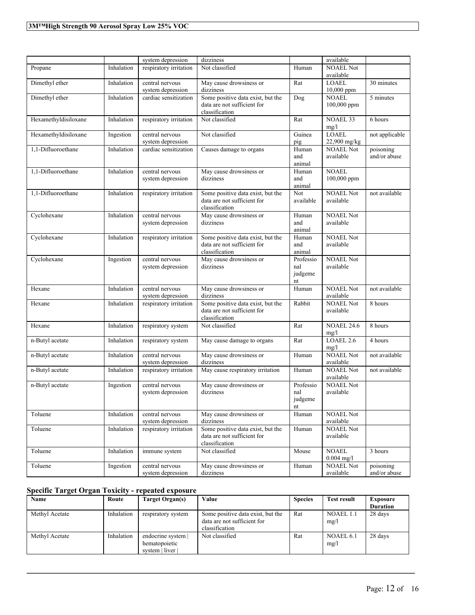|                      |            | system depression                    | dizziness                                                                          |                                   | available                     |                           |
|----------------------|------------|--------------------------------------|------------------------------------------------------------------------------------|-----------------------------------|-------------------------------|---------------------------|
| Propane              | Inhalation | respiratory irritation               | Not classified                                                                     | Human                             | <b>NOAEL Not</b><br>available |                           |
| Dimethyl ether       | Inhalation | central nervous<br>system depression | May cause drowsiness or<br>dizziness                                               | Rat                               | <b>LOAEL</b><br>$10,000$ ppm  | 30 minutes                |
| Dimethyl ether       | Inhalation | cardiac sensitization                | Some positive data exist, but the<br>data are not sufficient for<br>classification | Dog                               | <b>NOAEL</b><br>100,000 ppm   | 5 minutes                 |
| Hexamethyldisiloxane | Inhalation | respiratory irritation               | Not classified                                                                     | Rat                               | <b>NOAEL 33</b><br>mg/l       | 6 hours                   |
| Hexamethyldisiloxane | Ingestion  | central nervous<br>system depression | Not classified                                                                     | Guinea<br>pig                     | <b>LOAEL</b><br>22,900 mg/kg  | not applicable            |
| 1,1-Difluoroethane   | Inhalation | cardiac sensitization                | Causes damage to organs                                                            | Human<br>and<br>animal            | <b>NOAEL Not</b><br>available | poisoning<br>and/or abuse |
| 1,1-Difluoroethane   | Inhalation | central nervous<br>system depression | May cause drowsiness or<br>dizziness                                               | Human<br>and<br>animal            | <b>NOAEL</b><br>100,000 ppm   |                           |
| 1,1-Difluoroethane   | Inhalation | respiratory irritation               | Some positive data exist, but the<br>data are not sufficient for<br>classification | Not<br>available                  | <b>NOAEL Not</b><br>available | not available             |
| Cyclohexane          | Inhalation | central nervous<br>system depression | May cause drowsiness or<br>dizziness                                               | Human<br>and<br>animal            | <b>NOAEL Not</b><br>available |                           |
| Cyclohexane          | Inhalation | respiratory irritation               | Some positive data exist, but the<br>data are not sufficient for<br>classification | Human<br>and<br>animal            | <b>NOAEL Not</b><br>available |                           |
| Cyclohexane          | Ingestion  | central nervous<br>system depression | May cause drowsiness or<br>dizziness                                               | Professio<br>nal<br>judgeme<br>nt | <b>NOAEL Not</b><br>available |                           |
| Hexane               | Inhalation | central nervous<br>system depression | May cause drowsiness or<br>dizziness                                               | Human                             | <b>NOAEL Not</b><br>available | not available             |
| Hexane               | Inhalation | respiratory irritation               | Some positive data exist, but the<br>data are not sufficient for<br>classification | Rabbit                            | <b>NOAEL Not</b><br>available | 8 hours                   |
| Hexane               | Inhalation | respiratory system                   | Not classified                                                                     | Rat                               | <b>NOAEL 24.6</b><br>mg/l     | 8 hours                   |
| n-Butyl acetate      | Inhalation | respiratory system                   | May cause damage to organs                                                         | Rat                               | LOAEL 2.6<br>mg/l             | 4 hours                   |
| n-Butyl acetate      | Inhalation | central nervous<br>system depression | May cause drowsiness or<br>dizziness                                               | Human                             | <b>NOAEL Not</b><br>available | not available             |
| n-Butyl acetate      | Inhalation | respiratory irritation               | May cause respiratory irritation                                                   | Human                             | <b>NOAEL Not</b><br>available | not available             |
| n-Butyl acetate      | Ingestion  | central nervous<br>system depression | May cause drowsiness or<br>dizziness                                               | Professio<br>nal<br>judgeme<br>nt | <b>NOAEL Not</b><br>available |                           |
| Toluene              | Inhalation | central nervous<br>system depression | May cause drowsiness or<br>dizziness                                               | Human                             | <b>NOAEL Not</b><br>available |                           |
| Toluene              | Inhalation | respiratory irritation               | Some positive data exist, but the<br>data are not sufficient for<br>classification | Human                             | <b>NOAEL Not</b><br>available |                           |
| Toluene              | Inhalation | immune system                        | Not classified                                                                     | Mouse                             | <b>NOAEL</b><br>$0.004$ mg/l  | 3 hours                   |
| Toluene              | Ingestion  | central nervous<br>system depression | May cause drowsiness or<br>dizziness                                               | Human                             | <b>NOAEL Not</b><br>available | poisoning<br>and/or abuse |

### **Specific Target Organ Toxicity - repeated exposure**

| Name           | Route      | Target Organ(s)                                     | Value                                                                              | <b>Species</b> | <b>Test result</b> | <b>Exposure</b> |
|----------------|------------|-----------------------------------------------------|------------------------------------------------------------------------------------|----------------|--------------------|-----------------|
|                |            |                                                     |                                                                                    |                |                    | <b>Duration</b> |
| Methyl Acetate | Inhalation | respiratory system                                  | Some positive data exist, but the<br>data are not sufficient for<br>classification | Rat            | NOAEL 1.1<br>mg/l  | 28 days         |
| Methyl Acetate | Inhalation | endocrine system<br>hematopoietic<br>system   liver | Not classified                                                                     | Rat            | NOAEL 6.1<br>mg/l  | 28 days         |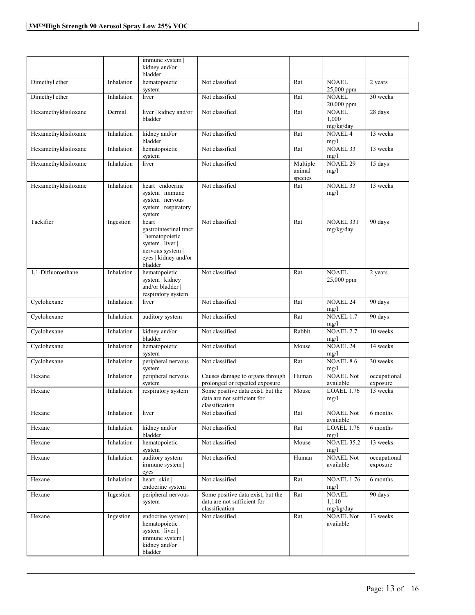|                      |            | immune system  <br>kidney and/or<br>bladder                                                                                   |                                                                                    |                               |                                    |                          |
|----------------------|------------|-------------------------------------------------------------------------------------------------------------------------------|------------------------------------------------------------------------------------|-------------------------------|------------------------------------|--------------------------|
| Dimethyl ether       | Inhalation | hematopoietic<br>system                                                                                                       | Not classified                                                                     | Rat                           | NOAEL<br>25,000 ppm                | 2 years                  |
| Dimethyl ether       | Inhalation | liver                                                                                                                         | Not classified                                                                     | Rat                           | <b>NOAEL</b><br>20,000 ppm         | 30 weeks                 |
| Hexamethyldisiloxane | Dermal     | liver   kidney and/or<br>bladder                                                                                              | Not classified                                                                     | Rat                           | <b>NOAEL</b><br>1,000<br>mg/kg/day | 28 days                  |
| Hexamethyldisiloxane | Inhalation | kidney and/or<br>bladder                                                                                                      | Not classified                                                                     | Rat                           | <b>NOAEL 4</b><br>mg/l             | 13 weeks                 |
| Hexamethyldisiloxane | Inhalation | hematopoietic<br>system                                                                                                       | Not classified                                                                     | $\bar{R}$ at                  | <b>NOAEL 33</b><br>mg/l            | 13 weeks                 |
| Hexamethyldisiloxane | Inhalation | liver                                                                                                                         | Not classified                                                                     | Multiple<br>animal<br>species | <b>NOAEL 29</b><br>mg/l            | 15 days                  |
| Hexamethyldisiloxane | Inhalation | heart   endocrine<br>system   immune<br>system   nervous<br>system   respiratory<br>system                                    | Not classified                                                                     | Rat                           | <b>NOAEL 33</b><br>mg/l            | 13 weeks                 |
| Tackifier            | Ingestion  | heart  <br>gastrointestinal tract<br>hematopoietic<br>system   liver  <br>nervous system  <br>eyes   kidney and/or<br>bladder | Not classified                                                                     | Rat                           | <b>NOAEL 331</b><br>mg/kg/day      | 90 days                  |
| 1,1-Difluoroethane   | Inhalation | hematopoietic<br>system   kidney<br>and/or bladder  <br>respiratory system                                                    | Not classified                                                                     | Rat                           | <b>NOAEL</b><br>25,000 ppm         | 2 years                  |
| Cyclohexane          | Inhalation | liver                                                                                                                         | Not classified                                                                     | Rat                           | <b>NOAEL 24</b><br>mg/l            | 90 days                  |
| Cyclohexane          | Inhalation | auditory system                                                                                                               | Not classified                                                                     | Rat                           | NOAEL 1.7<br>mg/l                  | 90 days                  |
| Cyclohexane          | Inhalation | kidney and/or<br>bladder                                                                                                      | Not classified                                                                     | Rabbit                        | <b>NOAEL 2.7</b><br>mg/l           | 10 weeks                 |
| Cyclohexane          | Inhalation | hematopoietic<br>system                                                                                                       | Not classified                                                                     | Mouse                         | <b>NOAEL 24</b><br>mg/l            | 14 weeks                 |
| Cyclohexane          | Inhalation | peripheral nervous<br>system                                                                                                  | Not classified                                                                     | Rat                           | <b>NOAEL 8.6</b><br>mg/l           | 30 weeks                 |
| Hexane               | Inhalation | peripheral nervous<br>system                                                                                                  | Causes damage to organs through<br>prolonged or repeated exposure                  | Human                         | <b>NOAEL Not</b><br>available      | occupational<br>exposure |
| Hexane               | Inhalation | respiratory system                                                                                                            | Some positive data exist, but the<br>data are not sufficient for<br>classification | Mouse                         | <b>LOAEL 1.76</b><br>mg/l          | 13 weeks                 |
| Hexane               | Inhalation | liver                                                                                                                         | Not classified                                                                     | Rat                           | <b>NOAEL Not</b><br>available      | 6 months                 |
| Hexane               | Inhalation | kidney and/or<br>bladder                                                                                                      | Not classified                                                                     | Rat                           | LOAEL 1.76<br>mg/l                 | 6 months                 |
| Hexane               | Inhalation | hematopoietic<br>system                                                                                                       | Not classified                                                                     | Mouse                         | <b>NOAEL 35.2</b><br>mg/l          | 13 weeks                 |
| Hexane               | Inhalation | auditory system  <br>immune system  <br>eyes                                                                                  | Not classified                                                                     | Human                         | <b>NOAEL Not</b><br>available      | occupational<br>exposure |
| Hexane               | Inhalation | heart   skin  <br>endocrine system                                                                                            | Not classified                                                                     | Rat                           | <b>NOAEL 1.76</b><br>mg/l          | 6 months                 |
| Hexane               | Ingestion  | peripheral nervous<br>system                                                                                                  | Some positive data exist, but the<br>data are not sufficient for<br>classification | Rat                           | <b>NOAEL</b><br>1,140<br>mg/kg/day | 90 days                  |
| Hexane               | Ingestion  | endocrine system  <br>hematopoietic<br>system   liver  <br>immune system  <br>kidney and/or<br>bladder                        | Not classified                                                                     | Rat                           | <b>NOAEL Not</b><br>available      | 13 weeks                 |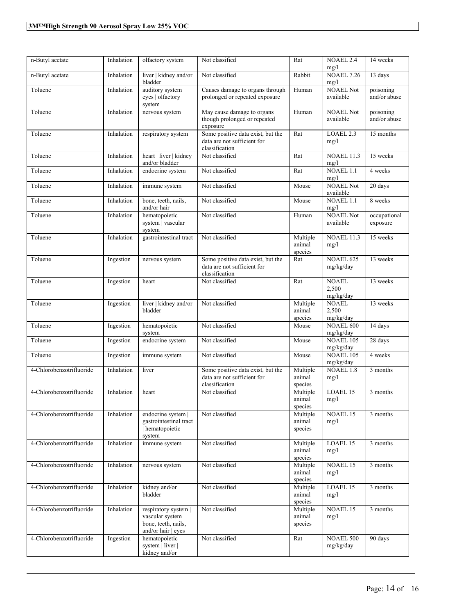| n-Butyl acetate          | Inhalation | olfactory system                                                                       | Not classified                                                                     | Rat                           | <b>NOAEL 2.4</b><br>mg/l           | 14 weeks                  |
|--------------------------|------------|----------------------------------------------------------------------------------------|------------------------------------------------------------------------------------|-------------------------------|------------------------------------|---------------------------|
| n-Butyl acetate          | Inhalation | liver   kidney and/or<br>bladder                                                       | Not classified                                                                     | Rabbit                        | <b>NOAEL 7.26</b><br>mg/l          | 13 days                   |
| Toluene                  | Inhalation | auditory system  <br>eyes   olfactory<br>system                                        | Causes damage to organs through<br>prolonged or repeated exposure                  | Human                         | <b>NOAEL Not</b><br>available      | poisoning<br>and/or abuse |
| Toluene                  | Inhalation | nervous system                                                                         | May cause damage to organs<br>though prolonged or repeated<br>exposure             | Human                         | <b>NOAEL Not</b><br>available      | poisoning<br>and/or abuse |
| Toluene                  | Inhalation | respiratory system                                                                     | Some positive data exist, but the<br>data are not sufficient for<br>classification | Rat                           | LOAEL <sub>2.3</sub><br>mg/l       | 15 months                 |
| Toluene                  | Inhalation | heart   liver   kidney<br>and/or bladder                                               | Not classified                                                                     | Rat                           | <b>NOAEL 11.3</b><br>mg/l          | 15 weeks                  |
| Toluene                  | Inhalation | endocrine system                                                                       | Not classified                                                                     | Rat                           | NOAEL 1.1<br>mg/l                  | 4 weeks                   |
| Toluene                  | Inhalation | immune system                                                                          | Not classified                                                                     | Mouse                         | <b>NOAEL Not</b><br>available      | 20 days                   |
| Toluene                  | Inhalation | bone, teeth, nails,<br>and/or hair                                                     | Not classified                                                                     | Mouse                         | <b>NOAEL 1.1</b><br>mg/l           | 8 weeks                   |
| Toluene                  | Inhalation | hematopoietic<br>system   vascular<br>system                                           | Not classified                                                                     | Human                         | <b>NOAEL Not</b><br>available      | occupational<br>exposure  |
| Toluene                  | Inhalation | gastrointestinal tract                                                                 | Not classified                                                                     | Multiple<br>animal<br>species | <b>NOAEL 11.3</b><br>mg/l          | 15 weeks                  |
| Toluene                  | Ingestion  | nervous system                                                                         | Some positive data exist, but the<br>data are not sufficient for<br>classification | Rat                           | <b>NOAEL 625</b><br>mg/kg/day      | 13 weeks                  |
| Toluene                  | Ingestion  | heart                                                                                  | Not classified                                                                     | Rat                           | <b>NOAEL</b><br>2,500<br>mg/kg/day | 13 weeks                  |
| Toluene                  | Ingestion  | liver   kidney and/or<br>bladder                                                       | Not classified                                                                     | Multiple<br>animal<br>species | <b>NOAEL</b><br>2,500<br>mg/kg/day | 13 weeks                  |
| Toluene                  | Ingestion  | hematopoietic<br>system                                                                | Not classified                                                                     | Mouse                         | <b>NOAEL 600</b><br>mg/kg/day      | 14 days                   |
| Toluene                  | Ingestion  | endocrine system                                                                       | Not classified                                                                     | Mouse                         | <b>NOAEL 105</b><br>mg/kg/day      | 28 days                   |
| Toluene                  | Ingestion  | immune system                                                                          | Not classified                                                                     | Mouse                         | <b>NOAEL 105</b><br>mg/kg/day      | 4 weeks                   |
| 4-Chlorobenzotrifluoride | Inhalation | liver                                                                                  | Some positive data exist, but the<br>data are not sufficient for<br>classification | Multiple<br>animal<br>species | <b>NOAEL 1.8</b><br>mg/l           | 3 months                  |
| 4-Chlorobenzotrifluoride | Inhalation | heart                                                                                  | Not classified                                                                     | Multiple<br>animal<br>species | LOAEL 15<br>mg/l                   | 3 months                  |
| 4-Chlorobenzotrifluoride | Inhalation | endocrine system  <br>gastrointestinal tract<br>hematopoietic<br>system                | Not classified                                                                     | Multiple<br>animal<br>species | NOAEL 15<br>mg/l                   | 3 months                  |
| 4-Chlorobenzotrifluoride | Inhalation | immune system                                                                          | Not classified                                                                     | Multiple<br>animal<br>species | LOAEL 15<br>mg/l                   | 3 months                  |
| 4-Chlorobenzotrifluoride | Inhalation | nervous system                                                                         | Not classified                                                                     | Multiple<br>animal<br>species | NOAEL 15<br>mg/l                   | 3 months                  |
| 4-Chlorobenzotrifluoride | Inhalation | kidney and/or<br>bladder                                                               | Not classified                                                                     | Multiple<br>animal<br>species | LOAEL 15<br>mg/l                   | 3 months                  |
| 4-Chlorobenzotrifluoride | Inhalation | respiratory system  <br>vascular system  <br>bone, teeth, nails,<br>and/or hair   eyes | Not classified                                                                     | Multiple<br>animal<br>species | <b>NOAEL 15</b><br>mg/l            | 3 months                  |
| 4-Chlorobenzotrifluoride | Ingestion  | hematopoietic<br>system   liver  <br>kidney and/or                                     | Not classified                                                                     | Rat                           | <b>NOAEL 500</b><br>mg/kg/day      | 90 days                   |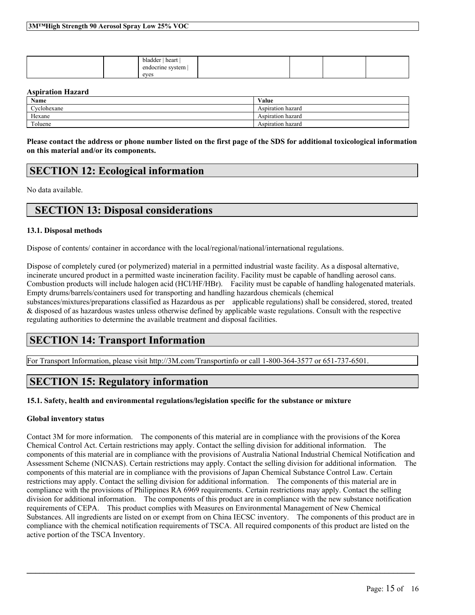| $\mathbf{r}$<br>bladder   heart<br>endocrine system |  |  |
|-----------------------------------------------------|--|--|
| eves                                                |  |  |

#### **Aspiration Hazard**

| <b>Name</b> | Value             |
|-------------|-------------------|
| Cyclohexane | Aspiration hazard |
| Hexane      | Aspiration hazard |
| Toluene     | Aspiration hazard |

Please contact the address or phone number listed on the first page of the SDS for additional toxicological information **on this material and/or its components.**

### **SECTION 12: Ecological information**

No data available.

### **SECTION 13: Disposal considerations**

#### **13.1. Disposal methods**

Dispose of contents/ container in accordance with the local/regional/national/international regulations.

Dispose of completely cured (or polymerized) material in a permitted industrial waste facility. As a disposal alternative, incinerate uncured product in a permitted waste incineration facility. Facility must be capable of handling aerosol cans. Combustion products will include halogen acid (HCl/HF/HBr). Facility must be capable of handling halogenated materials. Empty drums/barrels/containers used for transporting and handling hazardous chemicals (chemical substances/mixtures/preparations classified as Hazardous as per applicable regulations) shall be considered, stored, treated & disposed of as hazardous wastes unless otherwise defined by applicable waste regulations. Consult with the respective

regulating authorities to determine the available treatment and disposal facilities.

### **SECTION 14: Transport Information**

For Transport Information, please visit http://3M.com/Transportinfo or call 1-800-364-3577 or 651-737-6501.

# **SECTION 15: Regulatory information**

#### **15.1. Safety, health and environmental regulations/legislation specific for the substance or mixture**

#### **Global inventory status**

Contact 3M for more information. The components of this material are in compliance with the provisions of the Korea Chemical Control Act. Certain restrictions may apply. Contact the selling division for additional information. The components of this material are in compliance with the provisions of Australia National Industrial Chemical Notification and Assessment Scheme (NICNAS). Certain restrictions may apply. Contact the selling division for additional information. The components of this material are in compliance with the provisions of Japan Chemical Substance Control Law. Certain restrictions may apply. Contact the selling division for additional information. The components of this material are in compliance with the provisions of Philippines RA 6969 requirements. Certain restrictions may apply. Contact the selling division for additional information. The components of this product are in compliance with the new substance notification requirements of CEPA. This product complies with Measures on Environmental Management of New Chemical Substances. All ingredients are listed on or exempt from on China IECSC inventory. The components of this product are in compliance with the chemical notification requirements of TSCA. All required components of this product are listed on the active portion of the TSCA Inventory.